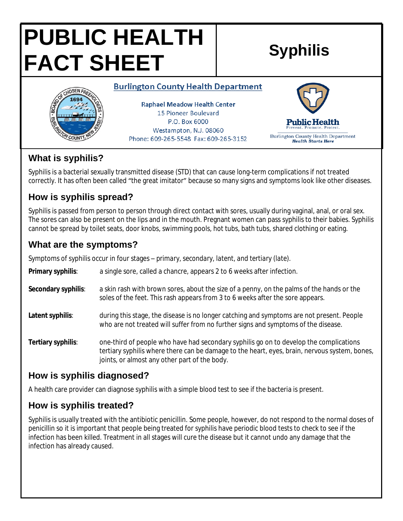# **PUBLIC HEALTH FACT SHEET Syphilis**

#### **Burlington County Health Department**



**Raphael Meadow Health Center** 15 Pioneer Boulevard P.O. Box 6000 Westampton, N.J. 08060 Phone: 609-265-5548 Fax: 609-265-3152



## **What is syphilis?**

Syphilis is a bacterial sexually transmitted disease (STD) that can cause long-term complications if not treated correctly. It has often been called "the great imitator" because so many signs and symptoms look like other diseases.

# **How is syphilis spread?**

Syphilis is passed from person to person through direct contact with sores, usually during vaginal, anal, or oral sex. The sores can also be present on the lips and in the mouth. Pregnant women can pass syphilis to their babies. Syphilis cannot be spread by toilet seats, door knobs, swimming pools, hot tubs, bath tubs, shared clothing or eating.

# **What are the symptoms?**

Symptoms of syphilis occur in four stages – *primary, secondary, latent, and tertiary (late).*

**Primary syphilis**: a single sore, called a chancre, appears 2 to 6 weeks after infection.

- **Secondary syphilis**: a skin rash with brown sores, about the size of a penny, on the palms of the hands or the soles of the feet. This rash appears from 3 to 6 weeks after the sore appears.
- **Latent syphilis**: during this stage, the disease is no longer catching and symptoms are not present. People who are not treated will suffer from no further signs and symptoms of the disease.
- **Tertiary syphilis**: one-third of people who have had secondary syphilis go on to develop the complications tertiary syphilis where there can be damage to the heart, eyes, brain, nervous system, bones, joints, or almost any other part of the body.

## **How is syphilis diagnosed?**

A health care provider can diagnose syphilis with a simple blood test to see if the bacteria is present.

# **How is syphilis treated?**

Syphilis is usually treated with the antibiotic penicillin. Some people, however, do not respond to the normal doses of penicillin so it is important that people being treated for syphilis have periodic blood tests to check to see if the infection has been killed. Treatment in all stages will cure the disease but it cannot undo any damage that the infection has already caused.